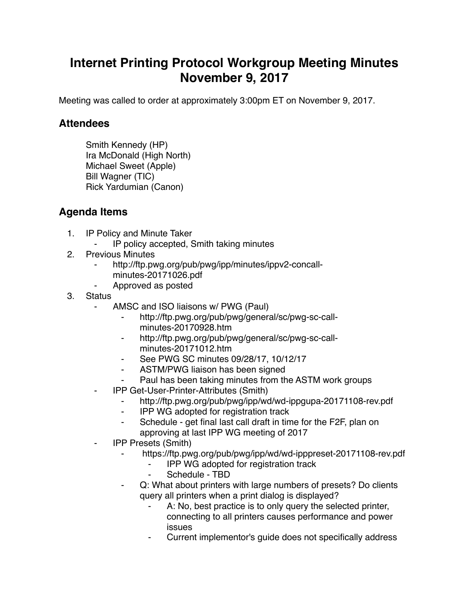## **Internet Printing Protocol Workgroup Meeting Minutes November 9, 2017**

Meeting was called to order at approximately 3:00pm ET on November 9, 2017.

## **Attendees**

Smith Kennedy (HP) Ira McDonald (High North) Michael Sweet (Apple) Bill Wagner (TIC) Rick Yardumian (Canon)

## **Agenda Items**

- 1. IP Policy and Minute Taker
	- ⁃ IP policy accepted, Smith taking minutes
- 2. Previous Minutes
	- http://ftp.pwg.org/pub/pwg/ipp/minutes/ippv2-concallminutes-20171026.pdf
	- ⁃ Approved as posted
- 3. Status
	- AMSC and ISO liaisons w/ PWG (Paul)
		- http://ftp.pwg.org/pub/pwg/general/sc/pwg-sc-callminutes-20170928.htm
		- http://ftp.pwg.org/pub/pwg/general/sc/pwg-sc-callminutes-20171012.htm
		- ⁃ See PWG SC minutes 09/28/17, 10/12/17
		- ASTM/PWG liaison has been signed
		- Paul has been taking minutes from the ASTM work groups
	- ⁃ IPP Get-User-Printer-Attributes (Smith)
		- ⁃ http://ftp.pwg.org/pub/pwg/ipp/wd/wd-ippgupa-20171108-rev.pdf
		- ⁃ IPP WG adopted for registration track
		- ⁃ Schedule get final last call draft in time for the F2F, plan on approving at last IPP WG meeting of 2017
	- ⁃ IPP Presets (Smith)
		- https://ftp.pwg.org/pub/pwg/ipp/wd/wd-ipppreset-20171108-rev.pdf
			- **IPP WG adopted for registration track**
			- Schedule TBD
		- Q: What about printers with large numbers of presets? Do clients query all printers when a print dialog is displayed?
			- A: No, best practice is to only query the selected printer, connecting to all printers causes performance and power issues
			- ⁃ Current implementor's guide does not specifically address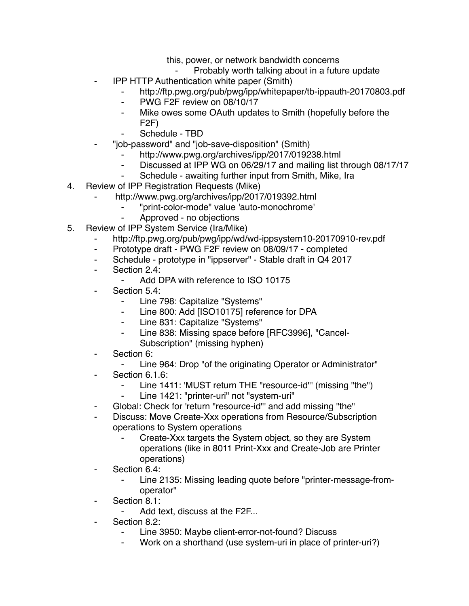this, power, or network bandwidth concerns

- Probably worth talking about in a future update
- **IPP HTTP Authentication white paper (Smith)** 
	- http://ftp.pwg.org/pub/pwg/ipp/whitepaper/tb-ippauth-20170803.pdf
	- ⁃ PWG F2F review on 08/10/17
	- ⁃ Mike owes some OAuth updates to Smith (hopefully before the F2F)
	- Schedule TBD
- ⁃ "job-password" and "job-save-disposition" (Smith)
	- http://www.pwg.org/archives/ipp/2017/019238.html
	- ⁃ Discussed at IPP WG on 06/29/17 and mailing list through 08/17/17
	- ⁃ Schedule awaiting further input from Smith, Mike, Ira
- 4. Review of IPP Registration Requests (Mike)
	- http://www.pwg.org/archives/ipp/2017/019392.html
		- ⁃ "print-color-mode" value 'auto-monochrome'
			- ⁃ Approved no objections
- 5. Review of IPP System Service (Ira/Mike)
	- http://ftp.pwg.org/pub/pwg/ipp/wd/wd-ippsystem10-20170910-rev.pdf
	- ⁃ Prototype draft PWG F2F review on 08/09/17 completed
	- ⁃ Schedule prototype in "ippserver" Stable draft in Q4 2017
	- ⁃ Section 2.4:
		- ⁃ Add DPA with reference to ISO 10175
	- Section 5.4:
		- ⁃ Line 798: Capitalize "Systems"
		- ⁃ Line 800: Add [ISO10175] reference for DPA
		- ⁃ Line 831: Capitalize "Systems"
		- ⁃ Line 838: Missing space before [RFC3996], "Cancel-Subscription" (missing hyphen)
	- ⁃ Section 6:
		- Line 964: Drop "of the originating Operator or Administrator"
	- Section 6.1.6:
		- ⁃ Line 1411: 'MUST return THE "resource-id"' (missing "the")
		- Line 1421: "printer-uri" not "system-uri"
	- Global: Check for 'return "resource-id"' and add missing "the"
	- Discuss: Move Create-Xxx operations from Resource/Subscription operations to System operations
		- Create-Xxx targets the System object, so they are System operations (like in 8011 Print-Xxx and Create-Job are Printer operations)
	- ⁃ Section 6.4:
		- Line 2135: Missing leading quote before "printer-message-fromoperator"
	- Section 8.1:
		- Add text, discuss at the F2F...
	- Section 8.2:
		- Line 3950: Maybe client-error-not-found? Discuss
		- ⁃ Work on a shorthand (use system-uri in place of printer-uri?)